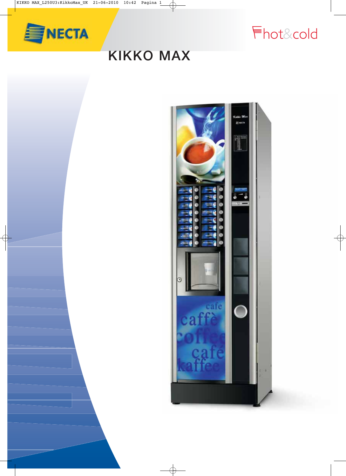

hot&cold

# **KIKKO MAX**